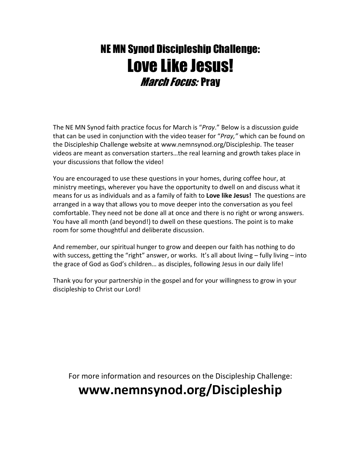## NE MN Synod Discipleship Challenge: Love Like Jesus! *March Focus: Pray*

The NE MN Synod faith practice focus for March is "Pray." Below is a discussion guide that can be used in conjunction with the video teaser for "Pray," which can be found on the Discipleship Challenge website at www.nemnsynod.org/Discipleship. The teaser videos are meant as conversation starters…the real learning and growth takes place in your discussions that follow the video!

You are encouraged to use these questions in your homes, during coffee hour, at ministry meetings, wherever you have the opportunity to dwell on and discuss what it means for us as individuals and as a family of faith to Love like Jesus! The questions are arranged in a way that allows you to move deeper into the conversation as you feel comfortable. They need not be done all at once and there is no right or wrong answers. You have all month (and beyond!) to dwell on these questions. The point is to make room for some thoughtful and deliberate discussion.

And remember, our spiritual hunger to grow and deepen our faith has nothing to do with success, getting the "right" answer, or works. It's all about living - fully living - into the grace of God as God's children… as disciples, following Jesus in our daily life!

Thank you for your partnership in the gospel and for your willingness to grow in your discipleship to Christ our Lord!

For more information and resources on the Discipleship Challenge:

## www.nemnsynod.org/Discipleship